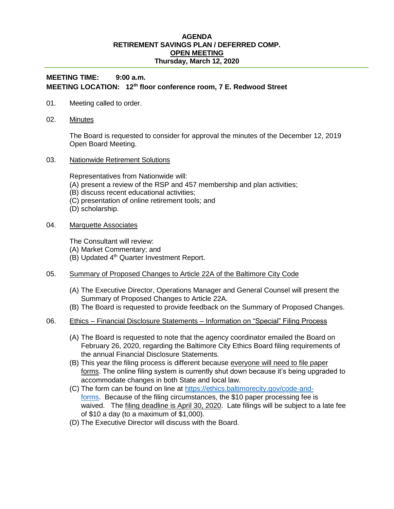## **AGENDA RETIREMENT SAVINGS PLAN / DEFERRED COMP. OPEN MEETING Thursday, March 12, 2020**

## **MEETING TIME: 9:00 a.m. MEETING LOCATION: 12th floor conference room, 7 E. Redwood Street**

- 01. Meeting called to order.
- 02. Minutes

The Board is requested to consider for approval the minutes of the December 12, 2019 Open Board Meeting.

03. Nationwide Retirement Solutions

Representatives from Nationwide will:

- (A) present a review of the RSP and 457 membership and plan activities;
- (B) discuss recent educational activities;
- (C) presentation of online retirement tools; and
- (D) scholarship.
- 04. Marquette Associates

The Consultant will review:

- (A) Market Commentary; and
- (B) Updated 4<sup>th</sup> Quarter Investment Report.
- 05. Summary of Proposed Changes to Article 22A of the Baltimore City Code
	- (A) The Executive Director, Operations Manager and General Counsel will present the Summary of Proposed Changes to Article 22A.
	- (B) The Board is requested to provide feedback on the Summary of Proposed Changes.
- 06. Ethics Financial Disclosure Statements Information on "Special" Filing Process
	- (A) The Board is requested to note that the agency coordinator emailed the Board on February 26, 2020, regarding the Baltimore City Ethics Board filing requirements of the annual Financial Disclosure Statements.
	- (B) This year the filing process is different because everyone will need to file paper forms. The online filing system is currently shut down because it's being upgraded to accommodate changes in both State and local law.
	- (C) The form can be found on line at [https://ethics.baltimorecity.gov/code-and](https://ethics.baltimorecity.gov/code-and-forms)[forms.](https://ethics.baltimorecity.gov/code-and-forms) Because of the filing circumstances, the \$10 paper processing fee is waived. The filing deadline is April 30, 2020. Late filings will be subject to a late fee of \$10 a day (to a maximum of \$1,000).
	- (D) The Executive Director will discuss with the Board.